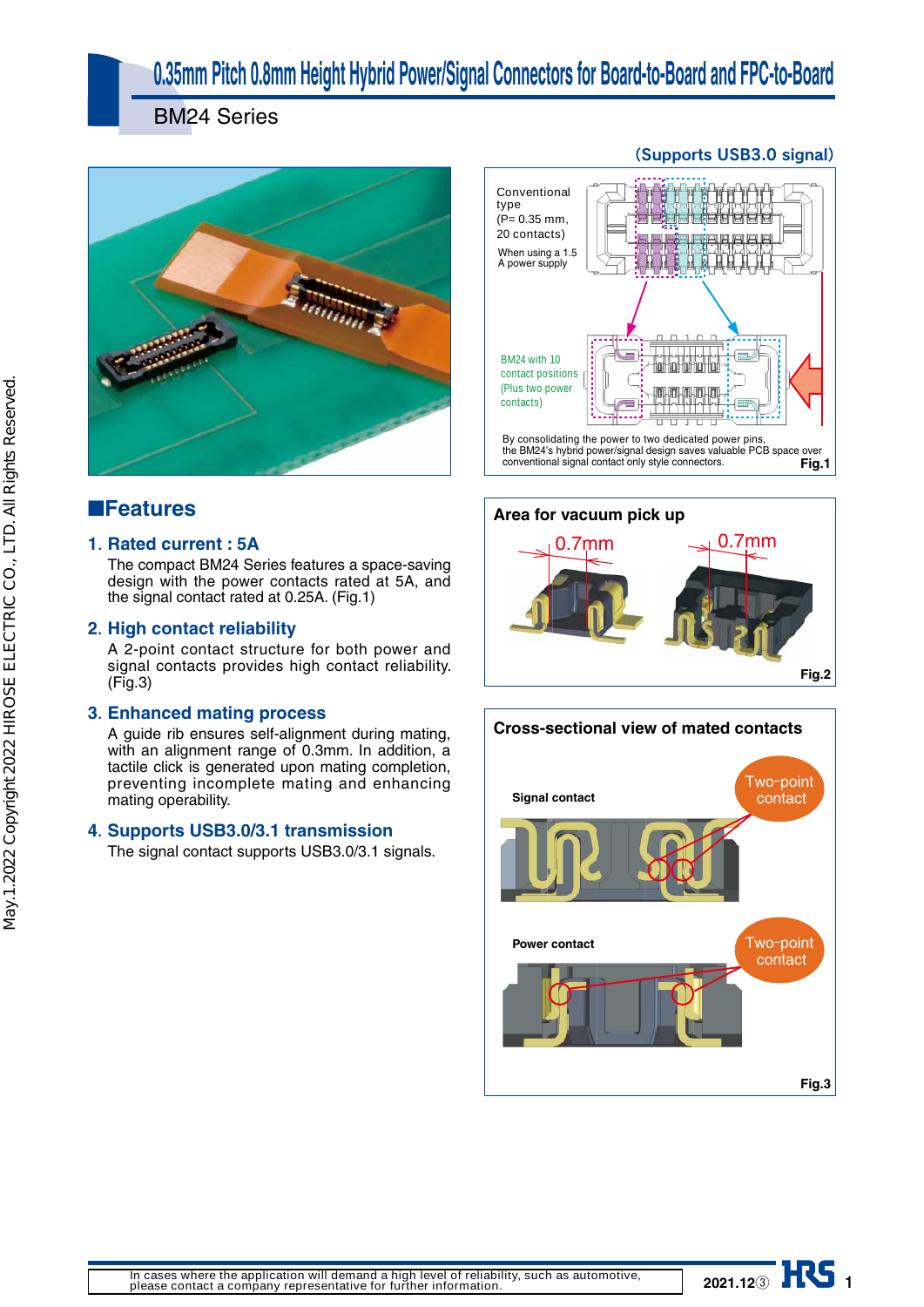# **0.35mm Pitch 0.8mm Height Hybrid Power/Signal Connectors for Board-to-Board and FPC-to-Board**

BM24 Series



## ■**Features**

### **1. Rated current : 5A**

The compact BM24 Series features a space-saving design with the power contacts rated at 5A, and the signal contact rated at 0.25A. (Fig.1)

### **2. High contact reliability**

A 2-point contact structure for both power and signal contacts provides high contact reliability. (Fig.3)

### **3. Enhanced mating process**

A guide rib ensures self-alignment during mating, with an alignment range of 0.3mm. In addition, a tactile click is generated upon mating completion, preventing incomplete mating and enhancing mating operability.

### **4. Supports USB3.0/3.1 transmission**

The signal contact supports USB3.0/3.1 signals.

## By consolidating the power to two dedicated power pins When using a  $1.5$ A power supply **Conventional type (P= 0.35 mm, 20 contacts) BM24 with 10 contact positions (Plus two power contacts)**

i]Z7B')Åh]nWg^YedlZg\$h^\cVaYZh^\chVkZhkVajVWaZE87heVXZdkZg XdckZci^dcVah^\cVaXdciVXidcanhinaZXdccZXidgh# **Fig.1**





## (Supports USB3.0 signal)

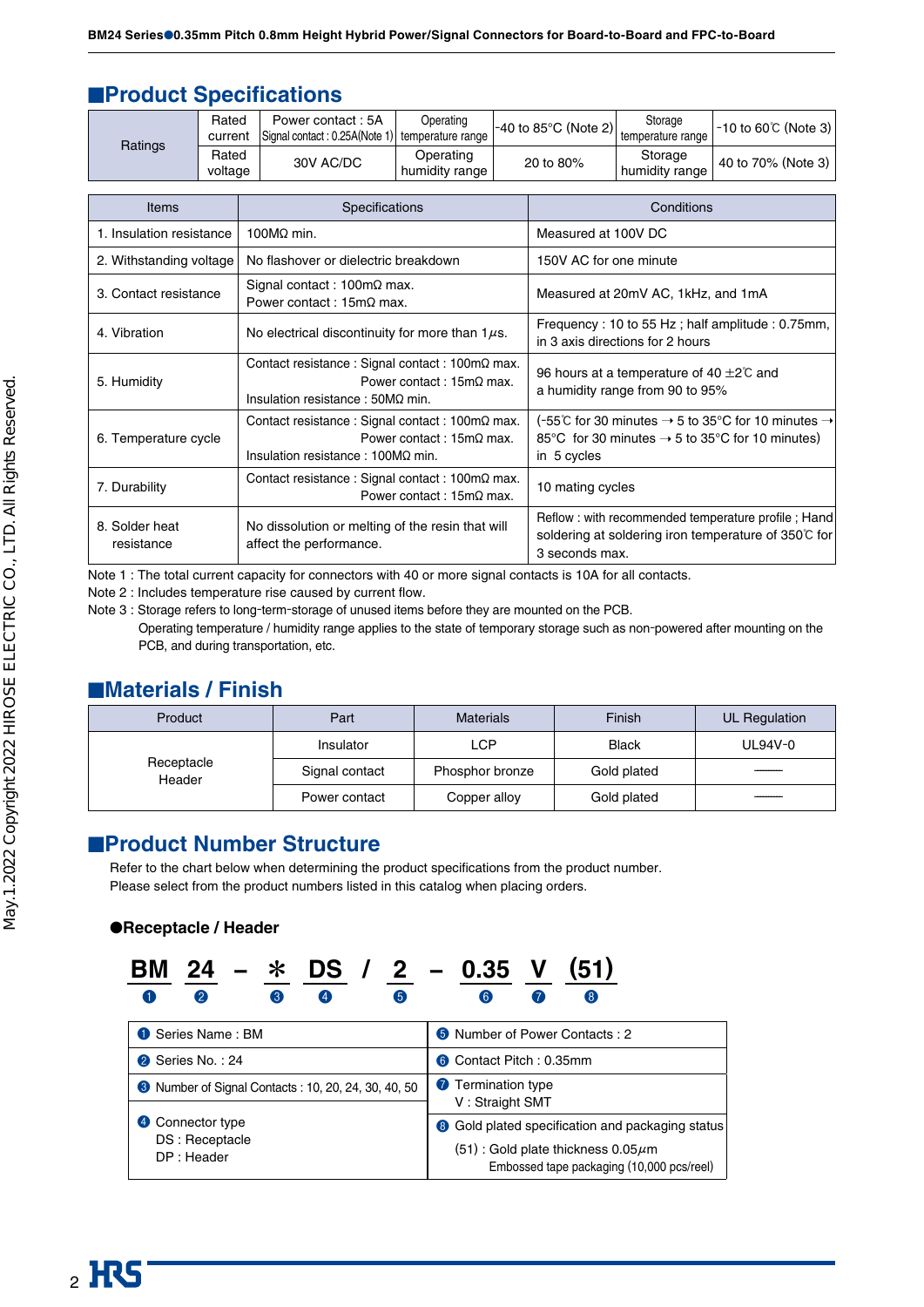## ■**Product Specifications**

|                             | Signal contact: 0.25A(Note 1) | temperature range           | $\left  -40 \text{ to } 85^{\circ} \text{C} \right $ (Note 2) | temperature range         |                    |
|-----------------------------|-------------------------------|-----------------------------|---------------------------------------------------------------|---------------------------|--------------------|
| Ratings<br>Rated<br>voltage | 30V AC/DC                     | Operating<br>humidity range | 20 to 80%                                                     | Storage<br>humidity range | 40 to 70% (Note 3) |

| <b>Items</b>                 | <b>Specifications</b>                                                                                                                           | Conditions                                                                                                                                                 |
|------------------------------|-------------------------------------------------------------------------------------------------------------------------------------------------|------------------------------------------------------------------------------------------------------------------------------------------------------------|
| 1. Insulation resistance     | 100 $MO$ min.                                                                                                                                   | Measured at 100V DC                                                                                                                                        |
| 2. Withstanding voltage      | No flashover or dielectric breakdown                                                                                                            | 150V AC for one minute                                                                                                                                     |
| 3. Contact resistance        | Signal contact: $100 \text{m}\Omega$ max.<br>Power contact: $15m\Omega$ max.                                                                    | Measured at 20mV AC, 1kHz, and 1mA                                                                                                                         |
| 4. Vibration                 | No electrical discontinuity for more than $1\mu s$ .                                                                                            | Frequency: 10 to 55 Hz; half amplitude: 0.75mm,<br>in 3 axis directions for 2 hours                                                                        |
| 5. Humidity                  | Contact resistance : Signal contact : $100 \text{m}\Omega$ max.<br>Power contact: $15m\Omega$ max.<br>Insulation resistance : $50M\Omega$ min.  | 96 hours at a temperature of 40 $\pm$ 2°C and<br>a humidity range from 90 to 95%                                                                           |
| 6. Temperature cycle         | Contact resistance : Signal contact : $100 \text{m}\Omega$ max.<br>Power contact: $15m\Omega$ max.<br>Insulation resistance : $100M\Omega$ min. | (-55°C for 30 minutes $\rightarrow$ 5 to 35°C for 10 minutes $\rightarrow$<br>85 °C for 30 minutes $\rightarrow$ 5 to 35 °C for 10 minutes)<br>in 5 cycles |
| 7. Durability                | Contact resistance : Signal contact : $100 \text{m}\Omega$ max.<br>Power contact: $15m\Omega$ max.                                              | 10 mating cycles                                                                                                                                           |
| 8. Solder heat<br>resistance | No dissolution or melting of the resin that will<br>affect the performance.                                                                     | Reflow: with recommended temperature profile; Hand<br>soldering at soldering iron temperature of 350℃ for<br>3 seconds max.                                |

Note 1 : The total current capacity for connectors with 40 or more signal contacts is 10A for all contacts.

Note 2 : Includes temperature rise caused by current flow.

Note 3 : Storage refers to long-term-storage of unused items before they are mounted on the PCB.

Operating temperature / humidity range applies to the state of temporary storage such as non-powered after mounting on the PCB, and during transportation, etc.

## ■**Materials / Finish**

| Product              | Part           | <b>Materials</b> | Finish       | UL Regulation |
|----------------------|----------------|------------------|--------------|---------------|
|                      | Insulator      | LCP              | <b>Black</b> | UL94V-0       |
| Receptacle<br>Header | Signal contact | Phosphor bronze  | Gold plated  |               |
|                      | Power contact  | Copper alloy     | Gold plated  |               |

## ■**Product Number Structure**

Refer to the chart below when determining the product specifications from the product number. Please select from the product numbers listed in this catalog when placing orders.

### ●**Receptacle / Header**

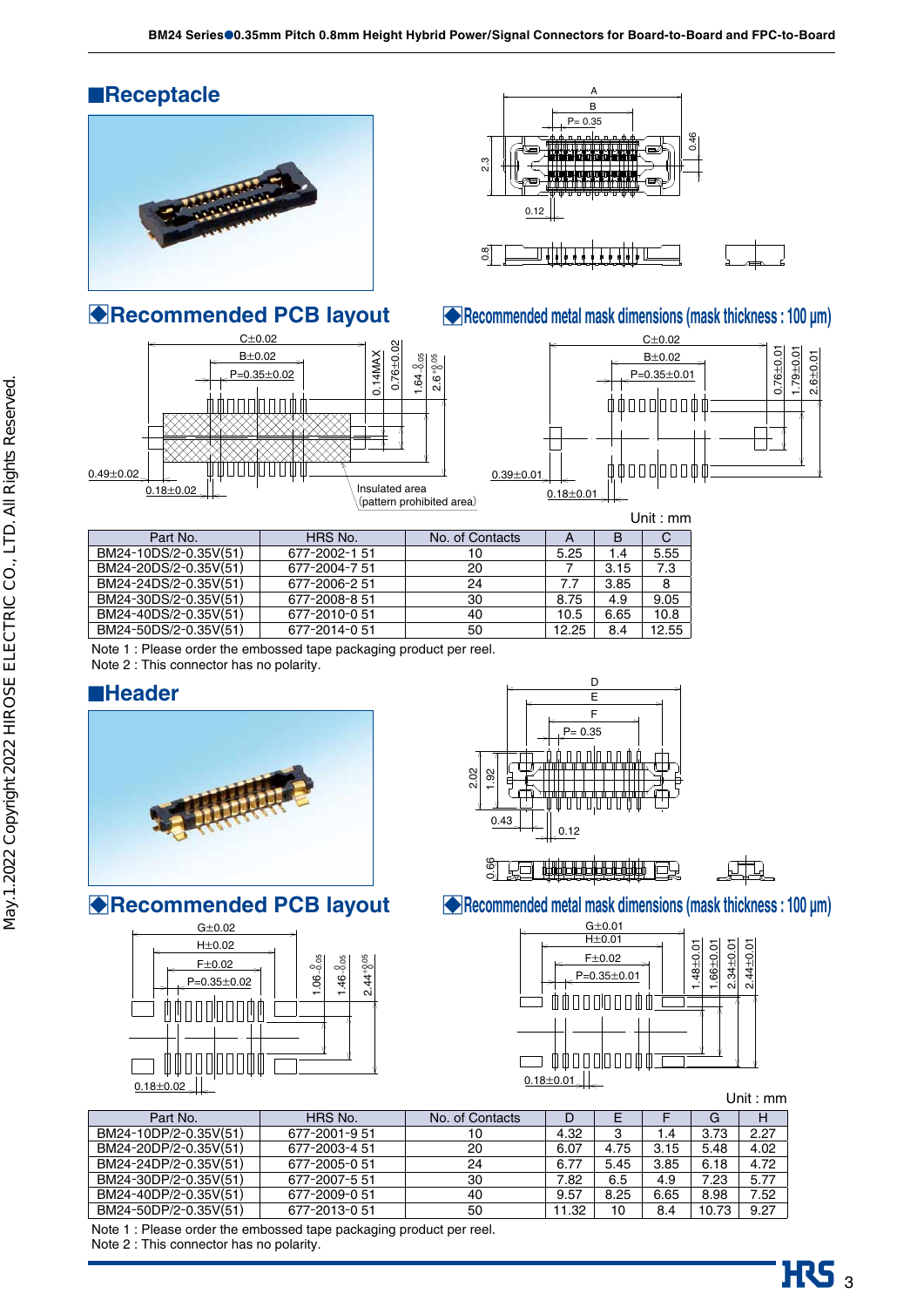





## □**Recommended PCB layout** □**Recommended metal mask dimensions (mask thickness : 100 µm)**



|                       |               |                 |       |      | <u>UIII.IIIII</u> |
|-----------------------|---------------|-----------------|-------|------|-------------------|
| Part No.              | HRS No.       | No. of Contacts |       | B    |                   |
| BM24-10DS/2-0.35V(51) | 677-2002-1 51 | 10              | 5.25  | 1.4  | 5.55              |
| BM24-20DS/2-0.35V(51) | 677-2004-7.51 | 20              |       | 3.15 | 7.3               |
| BM24-24DS/2-0.35V(51) | 677-2006-2 51 | 24              | 7.7   | 3.85 | 8                 |
| BM24-30DS/2-0.35V(51) | 677-2008-8 51 | 30              | 8.75  | 4.9  | 9.05              |
| BM24-40DS/2-0.35V(51) | 677-2010-051  | 40              | 10.5  | 6.65 | 10.8              |
| BM24-50DS/2-0.35V(51) | 677-2014-051  | 50              | 12.25 | 8.4  | 12.55             |
|                       |               |                 |       |      |                   |

Note 1 : Please order the embossed tape packaging product per reel.

Note 2 : This connector has no polarity.

## ■**Header**







80. 201 10000000000000 曰



□**Recommended PCB layout** □**Recommended metal mask dimensions (mask thickness : 100 µm)** 



Unit : mm

 $\mathbf{R}$ S<sub>3</sub>

| Part No.              | HRS No.       | No. of Contacts |       |      |      | G     | Н    |
|-----------------------|---------------|-----------------|-------|------|------|-------|------|
| BM24-10DP/2-0.35V(51) | 677-2001-9.51 | 10              | 4.32  |      | l .4 | 3.73  | 2.27 |
| BM24-20DP/2-0.35V(51) | 677-2003-4 51 | 20              | 6.07  | 4.75 | 3.15 | 5.48  | 4.02 |
| BM24-24DP/2-0.35V(51) | 677-2005-0 51 | 24              | 6.77  | 5.45 | 3.85 | 6.18  | 4.72 |
| BM24-30DP/2-0.35V(51) | 677-2007-5 51 | 30              | 7.82  | 6.5  | 4.9  | 7.23  | 5.77 |
| BM24-40DP/2-0.35V(51) | 677-2009-0 51 | 40              | 9.57  | 8.25 | 6.65 | 8.98  | 7.52 |
| BM24-50DP/2-0.35V(51) | 677-2013-0 51 | 50              | 11.32 | 10   | 8.4  | 10.73 | 9.27 |

Note 1 : Please order the embossed tape packaging product per reel.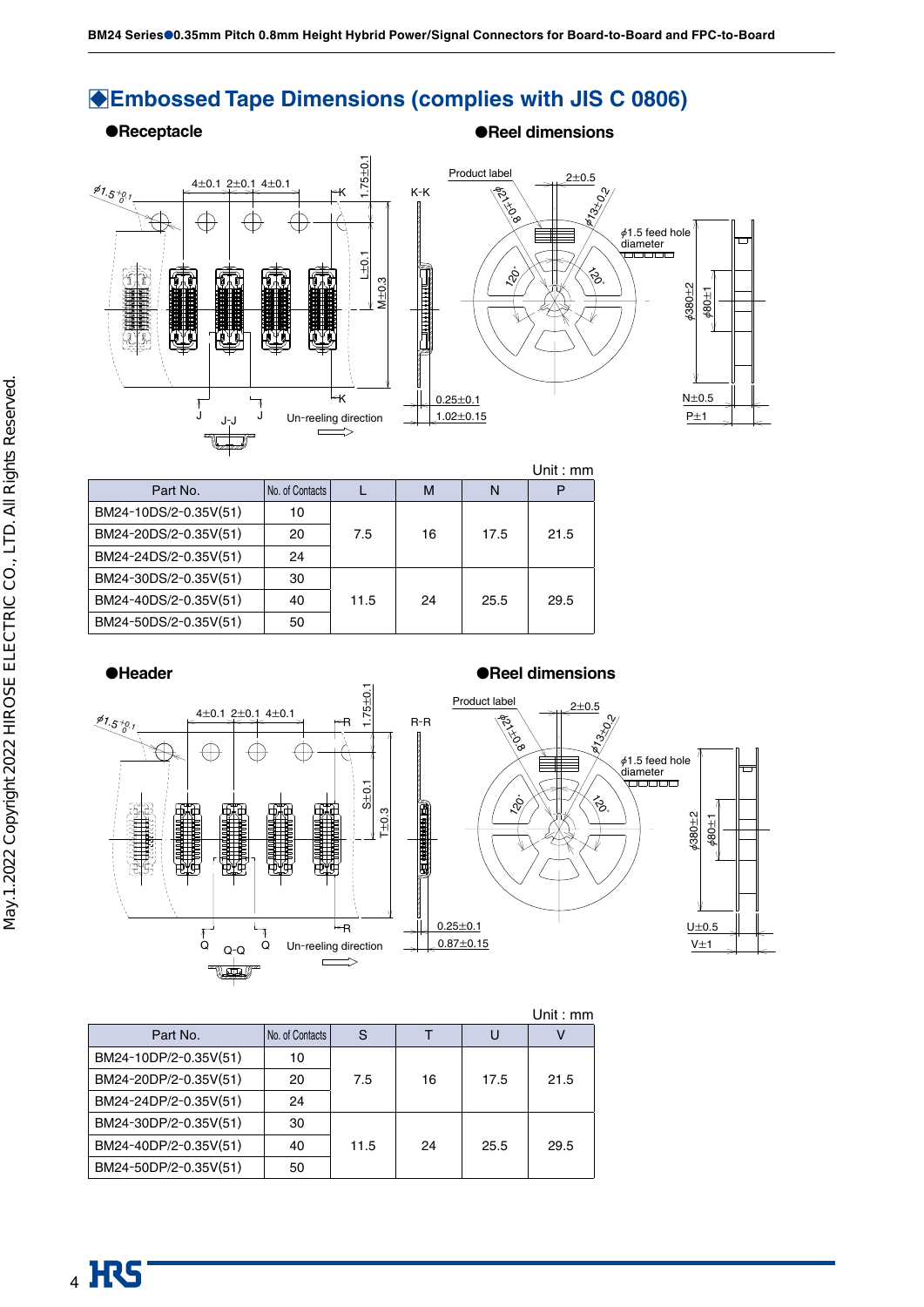## □**Embossed Tape Dimensions (complies with JIS C 0806)**

### ●**Receptacle** ●**Reel dimensions**





|                       |                 |      |    |      | l Init : mm |
|-----------------------|-----------------|------|----|------|-------------|
| Part No.              | No. of Contacts |      | M  | N    | Р           |
| BM24-10DS/2-0.35V(51) | 10              |      |    |      |             |
| BM24-20DS/2-0.35V(51) | 20              | 7.5  | 16 | 17.5 | 21.5        |
| BM24-24DS/2-0.35V(51) | 24              |      |    |      |             |
| BM24-30DS/2-0.35V(51) | 30              |      |    |      |             |
| BM24-40DS/2-0.35V(51) | 40              | 11.5 | 24 | 25.5 | 29.5        |
| BM24-50DS/2-0.35V(51) | 50              |      |    |      |             |



|                       |                 |      |    |      | Unit: mm |
|-----------------------|-----------------|------|----|------|----------|
| Part No.              | No. of Contacts | S    |    |      |          |
| BM24-10DP/2-0.35V(51) | 10              |      |    |      |          |
| BM24-20DP/2-0.35V(51) | 20              | 7.5  | 16 | 17.5 | 21.5     |
| BM24-24DP/2-0.35V(51) | 24              |      |    |      |          |
| BM24-30DP/2-0.35V(51) | 30              |      |    |      |          |
| BM24-40DP/2-0.35V(51) | 40              | 11.5 | 24 | 25.5 | 29.5     |
| BM24-50DP/2-0.35V(51) | 50              |      |    |      |          |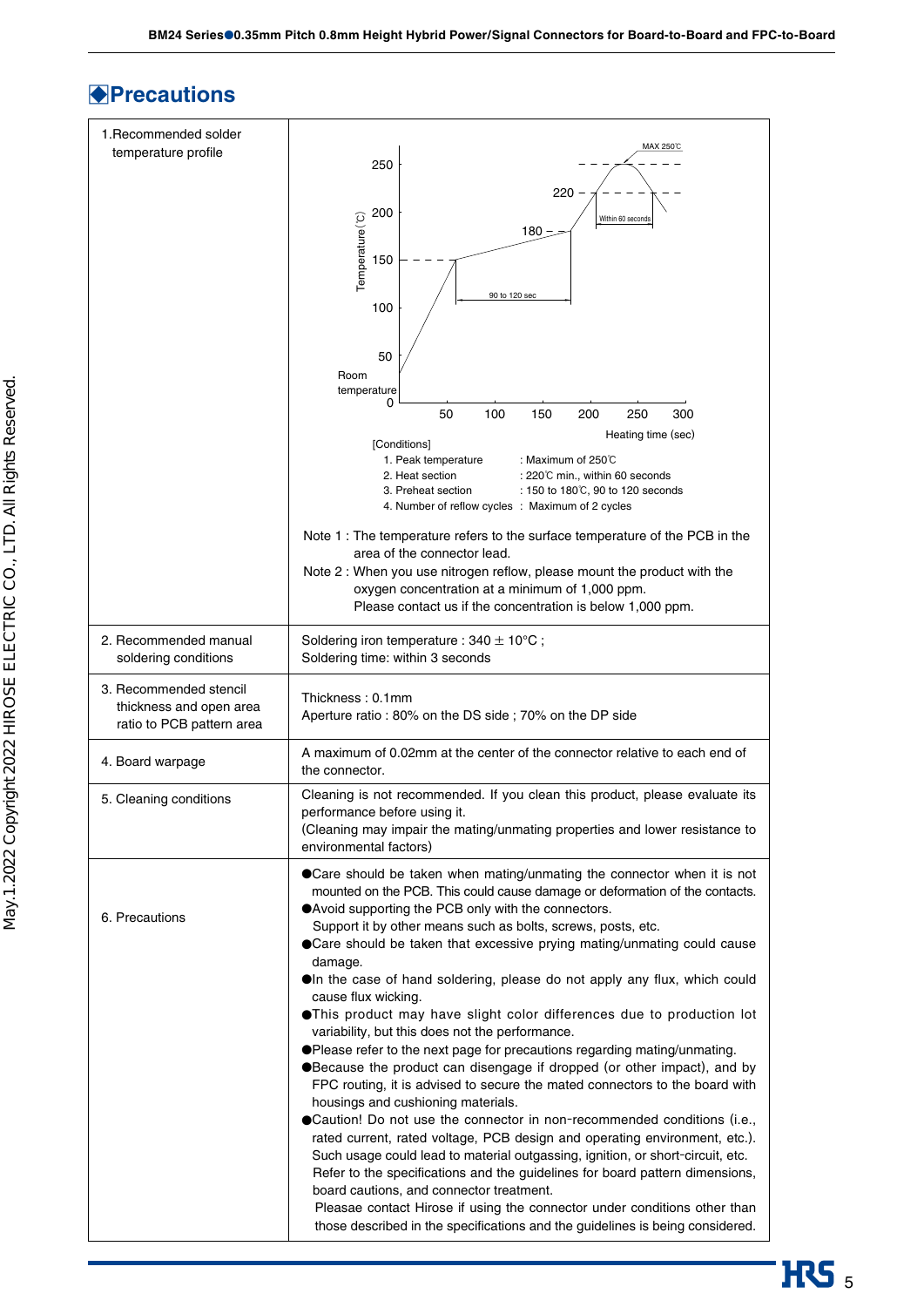## □**Precautions**

| 220<br>200<br>Temperature(°C)<br>Within 60 seconds<br>180<br>150<br>90 to 120 sec<br>100<br>50<br>Room                                                                                                                                                                                                                                                                                                                                                                                                                                                                                                                                                                                                                                                                                                                                                                                                                                                                                                                                                                                                                                                                                                                                                                                                                                                                                                                            |  |  |
|-----------------------------------------------------------------------------------------------------------------------------------------------------------------------------------------------------------------------------------------------------------------------------------------------------------------------------------------------------------------------------------------------------------------------------------------------------------------------------------------------------------------------------------------------------------------------------------------------------------------------------------------------------------------------------------------------------------------------------------------------------------------------------------------------------------------------------------------------------------------------------------------------------------------------------------------------------------------------------------------------------------------------------------------------------------------------------------------------------------------------------------------------------------------------------------------------------------------------------------------------------------------------------------------------------------------------------------------------------------------------------------------------------------------------------------|--|--|
| temperature<br>0                                                                                                                                                                                                                                                                                                                                                                                                                                                                                                                                                                                                                                                                                                                                                                                                                                                                                                                                                                                                                                                                                                                                                                                                                                                                                                                                                                                                                  |  |  |
| 50<br>100<br>200<br>300<br>150<br>250<br>Heating time (sec)<br>[Conditions]                                                                                                                                                                                                                                                                                                                                                                                                                                                                                                                                                                                                                                                                                                                                                                                                                                                                                                                                                                                                                                                                                                                                                                                                                                                                                                                                                       |  |  |
| 1. Peak temperature<br>: Maximum of 250 $\degree$ C<br>2. Heat section<br>: 220℃ min., within 60 seconds<br>3. Preheat section<br>: 150 to 180℃, 90 to 120 seconds<br>4. Number of reflow cycles : Maximum of 2 cycles                                                                                                                                                                                                                                                                                                                                                                                                                                                                                                                                                                                                                                                                                                                                                                                                                                                                                                                                                                                                                                                                                                                                                                                                            |  |  |
| Note 1 : The temperature refers to the surface temperature of the PCB in the<br>area of the connector lead.<br>Note 2 : When you use nitrogen reflow, please mount the product with the<br>oxygen concentration at a minimum of 1,000 ppm.<br>Please contact us if the concentration is below 1,000 ppm.                                                                                                                                                                                                                                                                                                                                                                                                                                                                                                                                                                                                                                                                                                                                                                                                                                                                                                                                                                                                                                                                                                                          |  |  |
| Soldering iron temperature : $340 \pm 10^{\circ}$ C;<br>Soldering time: within 3 seconds                                                                                                                                                                                                                                                                                                                                                                                                                                                                                                                                                                                                                                                                                                                                                                                                                                                                                                                                                                                                                                                                                                                                                                                                                                                                                                                                          |  |  |
| Thickness: 0.1mm<br>Aperture ratio: 80% on the DS side; 70% on the DP side                                                                                                                                                                                                                                                                                                                                                                                                                                                                                                                                                                                                                                                                                                                                                                                                                                                                                                                                                                                                                                                                                                                                                                                                                                                                                                                                                        |  |  |
| A maximum of 0.02mm at the center of the connector relative to each end of<br>the connector.                                                                                                                                                                                                                                                                                                                                                                                                                                                                                                                                                                                                                                                                                                                                                                                                                                                                                                                                                                                                                                                                                                                                                                                                                                                                                                                                      |  |  |
| Cleaning is not recommended. If you clean this product, please evaluate its<br>performance before using it.<br>(Cleaning may impair the mating/unmating properties and lower resistance to<br>environmental factors)                                                                                                                                                                                                                                                                                                                                                                                                                                                                                                                                                                                                                                                                                                                                                                                                                                                                                                                                                                                                                                                                                                                                                                                                              |  |  |
| ● Care should be taken when mating/unmating the connector when it is not<br>mounted on the PCB. This could cause damage or deformation of the contacts.<br>● Avoid supporting the PCB only with the connectors.<br>Support it by other means such as bolts, screws, posts, etc.<br>● Care should be taken that excessive prying mating/unmating could cause<br>damage.<br>OIn the case of hand soldering, please do not apply any flux, which could<br>cause flux wicking.<br><b>OThis product may have slight color differences due to production lot</b><br>variability, but this does not the performance.<br>● Please refer to the next page for precautions regarding mating/unmating.<br>●Because the product can disengage if dropped (or other impact), and by<br>FPC routing, it is advised to secure the mated connectors to the board with<br>housings and cushioning materials.<br>● Caution! Do not use the connector in non-recommended conditions (i.e.,<br>rated current, rated voltage, PCB design and operating environment, etc.).<br>Such usage could lead to material outgassing, ignition, or short-circuit, etc.<br>Refer to the specifications and the guidelines for board pattern dimensions,<br>board cautions, and connector treatment.<br>Pleasae contact Hirose if using the connector under conditions other than<br>those described in the specifications and the guidelines is being considered. |  |  |
|                                                                                                                                                                                                                                                                                                                                                                                                                                                                                                                                                                                                                                                                                                                                                                                                                                                                                                                                                                                                                                                                                                                                                                                                                                                                                                                                                                                                                                   |  |  |

**HRS**<sub>5</sub>